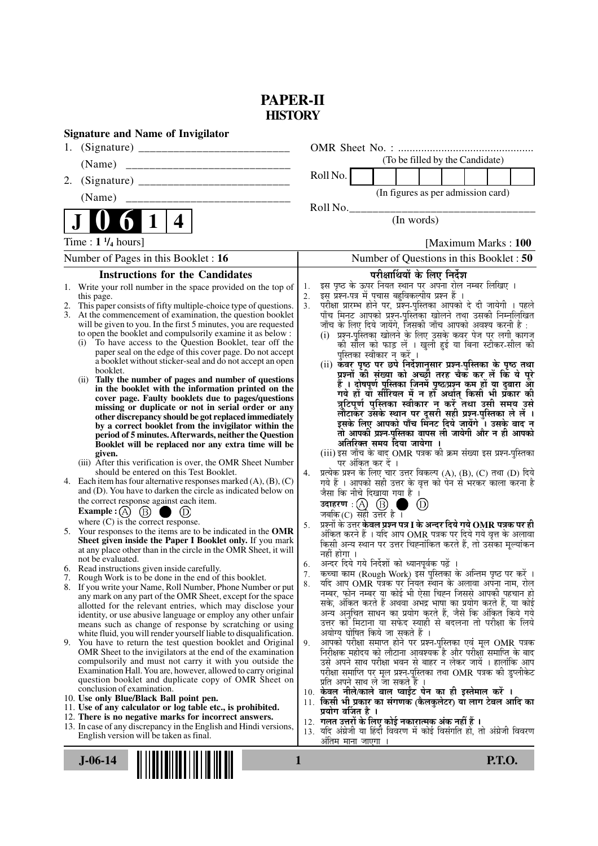## **PAPER-II HISTORY**

| <b>Signature and Name of Invigilator</b>                                                                                      |                                                                                                                                                     |
|-------------------------------------------------------------------------------------------------------------------------------|-----------------------------------------------------------------------------------------------------------------------------------------------------|
| 1.                                                                                                                            |                                                                                                                                                     |
| (Name)                                                                                                                        | (To be filled by the Candidate)                                                                                                                     |
| 2.                                                                                                                            | Roll No.                                                                                                                                            |
| (Name)                                                                                                                        | (In figures as per admission card)                                                                                                                  |
|                                                                                                                               | Roll No.<br>(In words)                                                                                                                              |
| 4                                                                                                                             |                                                                                                                                                     |
| Time : $1 \frac{1}{4}$ hours]                                                                                                 | [Maximum Marks: 100]                                                                                                                                |
| Number of Pages in this Booklet : 16                                                                                          | Number of Questions in this Booklet: 50                                                                                                             |
| <b>Instructions for the Candidates</b>                                                                                        | परीक्षार्थियों के लिए निर्देश                                                                                                                       |
| Write your roll number in the space provided on the top of<br>1.                                                              | इस पृष्ठ के ऊपर नियत स्थान पर अपना रोल नम्बर लिखिए ।<br>1.<br>इस प्रश्न-पत्र में पचास बहुविकल्पीय प्रश्न हैं ।<br>2.                                |
| this page.<br>This paper consists of fifty multiple-choice type of questions.                                                 | परीक्षा प्रारम्भ होने पर, प्रश्न-पुस्तिका आपको दे दी जायेगी । पहले<br>3.                                                                            |
| 3.<br>At the commencement of examination, the question booklet                                                                | पाँच मिनट आपको प्रश्न-पुस्तिका खोलने तथा उसकी निम्नलिखित                                                                                            |
| will be given to you. In the first 5 minutes, you are requested<br>to open the booklet and compulsorily examine it as below : | जाँच के लिए दिये जायेंगे, जिसकी जाँच आपको अवश्य करनी है :<br>प्रश्न-पुस्तिका खोलने के लिए उसके कवर पेज पर लगी कागज<br>(i)                           |
| To have access to the Question Booklet, tear off the<br>(i)                                                                   | को सील को फाड़ लें । खुली हुई या बिना स्टीकर-सील की                                                                                                 |
| paper seal on the edge of this cover page. Do not accept<br>a booklet without sticker-seal and do not accept an open          | पुस्तिका स्वीकार न करें ।                                                                                                                           |
| booklet.                                                                                                                      | (ii) कवर पृष्ठ पर छपे निर्देशानुसार प्रश्न-पुस्तिका के पृष्ठ तथा<br>प्रश्नों की संख्या को अच्छों तरह चैक कर लें कि ये पूरे                          |
| Tally the number of pages and number of questions<br>(i)<br>in the booklet with the information printed on the                | हैं । दोषपूर्ण पुस्तिका जिनमें पृष्ठ/प्रश्न कम हों या दुबारा आ<br>गये हों या सीरियल में न हो अर्थात् किसी भी प्रकार की                              |
| cover page. Faulty booklets due to pages/questions                                                                            |                                                                                                                                                     |
| missing or duplicate or not in serial order or any                                                                            | त्रुटिपूर्ण पुस्तिका स्वीकार न करें तथा उसी समय उसे<br>लौटाकेंट्र उसके स्थान पर दूसरी सही प्रश्न्-पुस्तिका ले लें ।                                 |
| other discrepancy should be got replaced immediately<br>by a correct booklet from the invigilator within the                  | इसके लिए आपको पाँच मिनट दिये जायेंगे ँ। उसके बाद न                                                                                                  |
| period of 5 minutes. Afterwards, neither the Question                                                                         | तो आपकी प्रश्न-पुस्तिका वापस ली जायेगी और न ही आपको                                                                                                 |
| Booklet will be replaced nor any extra time will be<br>given.                                                                 | अतिरिक्त समय दिया जायेगा ।<br>(iii) इस जाँच के बाद OMR पत्रक की क्रम संख्या इस प्रश्न-पुस्तिका                                                      |
| (iii) After this verification is over, the OMR Sheet Number                                                                   | पर अंकित कर दें ।                                                                                                                                   |
| should be entered on this Test Booklet.<br>4. Each item has four alternative responses marked $(A)$ , $(B)$ , $(C)$           | प्रत्येक प्रश्न के लिए चार उत्तर विकल्प (A), (B), (C) तथा (D) दिये<br>4.                                                                            |
| and (D). You have to darken the circle as indicated below on                                                                  | गये हैं । आपको सही उत्तर के वृत्त को पेन से भरकर काला करना है<br>जैसा कि नीचे दिखाया गया है ।                                                       |
| the correct response against each item.                                                                                       | उदाहरण: $(A)$ $(B)$ ।<br>$\circledcirc$                                                                                                             |
| Example : $(A)$ $(B)$<br>(D)                                                                                                  | जबकि $(C)$ सही उत्तर है।                                                                                                                            |
| where $(C)$ is the correct response.<br>5. Your responses to the items are to be indicated in the OMR                         | प्रश्नों के उत्तर <b>केवल प्रश्न पत्र I के अन्दर दिये गये OMR पत्रक पर ही</b><br>5.<br>अंकित करने हैं । यदि आप OMR पत्रक पर दिये गये वृत्त के अलावा |
| Sheet given inside the Paper I Booklet only. If you mark                                                                      | किसी अन्य स्थान पर उत्तर चिह्नांकित करते हैं, तो उसँका मूल्यांकन                                                                                    |
| at any place other than in the circle in the OMR Sheet, it will<br>not be evaluated.                                          | नहीं होगा ।                                                                                                                                         |
| 6. Read instructions given inside carefully.                                                                                  | अन्दर दिये गये निर्देशों को ध्यानपूर्वक पढ़ें ।<br>6.<br>कच्चा काम (Rough Work) इस पुस्तिका के अन्तिम पृष्ठ पर करें ।<br>7.                         |
| 7. Rough Work is to be done in the end of this booklet.<br>8. If you write your Name, Roll Number, Phone Number or put        | र्याद आप OMR पत्रक पर नियत स्थान के अलावा अपना नाम, रोल<br>8.                                                                                       |
| any mark on any part of the OMR Sheet, except for the space                                                                   | नम्बर, फोन नम्बर या कोई भी ऐसा चिह्न जिससे आपकी पहचान हो                                                                                            |
| allotted for the relevant entries, which may disclose your                                                                    | सके, अंकित करते हैं अथवा अभद्र भाषा का प्रयोग करते हैं, या कोई<br>अन्य अनुचित साधन का प्रयोग करते हैं, जैसे कि अंकित किये गये                       |
| identity, or use abusive language or employ any other unfair<br>means such as change of response by scratching or using       | उत्तर को मिटाना या सफेद स्याही से बदलना तो परीक्षा के लिये                                                                                          |
| white fluid, you will render yourself liable to disqualification.                                                             | अयोग्य घोषित किये जा सकते हैं ।                                                                                                                     |
| 9. You have to return the test question booklet and Original<br>OMR Sheet to the invigilators at the end of the examination   | आपको परीक्षा समाप्त होने पर प्रश्न-पुस्तिका एवं मूल OMR पत्रक<br>9.<br>निरीक्षक महोदय को लौटाना आवश्यक है और परीक्षा समाप्ति के बाद                 |
| compulsorily and must not carry it with you outside the                                                                       | उसे अपने साथ परीक्षा भवन से बाहर न लेकर जायें । हालांकि आप                                                                                          |
| Examination Hall. You are, however, allowed to carry original                                                                 | परीक्षा समाप्ति पर मूल प्रश्न-पुस्तिका तथा OMR पत्रक की डुप्लीकेट                                                                                   |
| question booklet and duplicate copy of OMR Sheet on<br>conclusion of examination.                                             | प्रति अपने साथ ले जा सकते हैं ।<br>10. केवल नीले/काले बाल प्वाईंट पेन का ही इस्तेमाल करें ।                                                         |
| 10. Use only Blue/Black Ball point pen.                                                                                       | 11. किसी भी प्रकार का संगणक (कैलकुलेटर) या लाग टेबल आदि का                                                                                          |
| 11. Use of any calculator or log table etc., is prohibited.<br>12. There is no negative marks for incorrect answers.          | प्रयोग वर्जित है ।                                                                                                                                  |
| 13. In case of any discrepancy in the English and Hindi versions,                                                             | 12. गलत उत्तरों के लिए कोई नकारात्मक अंक नहीं हैं ।<br>13. यदि अंग्रेजी या हिंदी विवरण में कोई विसंगति हो, तो अंग्रेजी विवरण                        |
| English version will be taken as final.                                                                                       | अंतिम माना जाएगा                                                                                                                                    |
| $J - 06 - 14$                                                                                                                 | <b>P.T.O.</b><br>1                                                                                                                                  |
|                                                                                                                               |                                                                                                                                                     |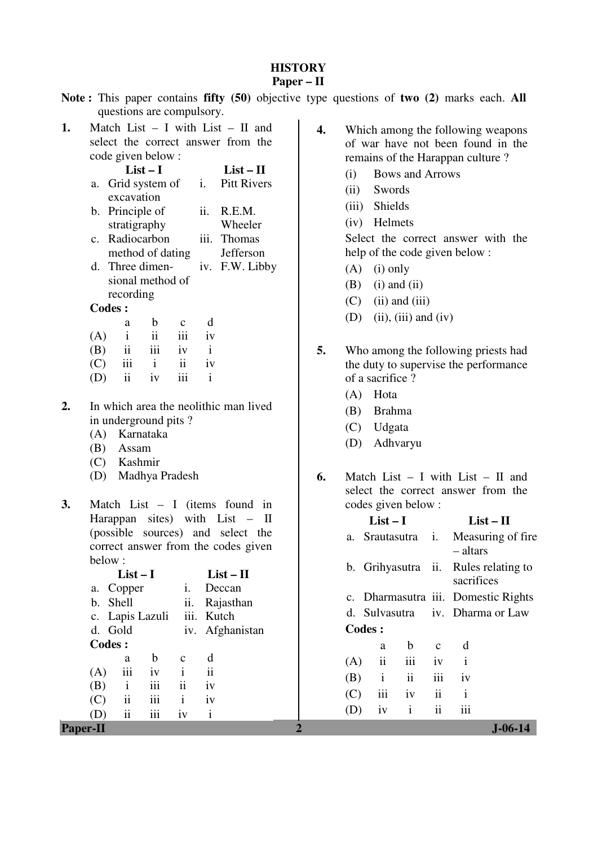### **HISTORY**

### **Paper – II**

|  |                           |  |  | Note: This paper contains fifty (50) objective type questions of two (2) marks each. All |  |  |  |
|--|---------------------------|--|--|------------------------------------------------------------------------------------------|--|--|--|
|  | questions are compulsory. |  |  |                                                                                          |  |  |  |

**1.** Match List – I with List – II and select the correct answer from the code given below :

|    |                |                                                                                         | $List-I$     | $List - II$             |              |                                                                                                                                                               |
|----|----------------|-----------------------------------------------------------------------------------------|--------------|-------------------------|--------------|---------------------------------------------------------------------------------------------------------------------------------------------------------------|
|    | а.             | Grid system of                                                                          |              |                         | i.           | Pitt Rivers                                                                                                                                                   |
|    |                | excavation                                                                              |              |                         |              |                                                                                                                                                               |
|    | b.             | Principle of                                                                            |              |                         | ii.          | R.E.M.                                                                                                                                                        |
|    |                | stratigraphy                                                                            |              |                         |              | Wheeler                                                                                                                                                       |
|    | $\mathbf{c}$ . | Radiocarbon                                                                             |              |                         | iii.         | Thomas                                                                                                                                                        |
|    |                | method of dating                                                                        |              |                         |              | Jefferson                                                                                                                                                     |
|    | d.             | Three dimen-                                                                            |              |                         | iv.          | F.W. Libby                                                                                                                                                    |
|    |                | sional method of                                                                        |              |                         |              |                                                                                                                                                               |
|    |                | recording                                                                               |              |                         |              |                                                                                                                                                               |
|    |                | <b>Codes:</b>                                                                           |              |                         |              |                                                                                                                                                               |
|    |                | a                                                                                       | b            | $\mathbf c$             | d            |                                                                                                                                                               |
|    | (A)            | $\mathbf{i}$                                                                            | ii           | iii                     | iv           |                                                                                                                                                               |
|    | (B)            | ii                                                                                      | iii          | iv                      | $\mathbf{i}$ |                                                                                                                                                               |
|    | (C)            | iii                                                                                     | $\mathbf{i}$ | $\overline{\mathbf{u}}$ | iv           |                                                                                                                                                               |
|    | (D)            | $\overline{\mathbf{ii}}$                                                                | iv           | iii                     | $\mathbf{i}$ |                                                                                                                                                               |
| 2. |                | in underground pits?<br>(A) Karnataka<br>(B) Assam<br>(C) Kashmir<br>(D) Madhya Pradesh |              |                         |              | In which area the neolithic man lived                                                                                                                         |
| 3. | below:         |                                                                                         |              |                         |              | Match List $- I$ (items found<br>in<br>Harappan sites) with List –<br>$\mathbf H$<br>(possible sources) and select the<br>correct answer from the codes given |
|    |                | $List-I$                                                                                |              |                         |              | $List - II$                                                                                                                                                   |
|    |                | a. Copper                                                                               |              | i.                      |              | Deccan                                                                                                                                                        |
|    |                | b. Shell                                                                                |              | ii.                     |              | Rajasthan                                                                                                                                                     |
|    |                | c. Lapis Lazuli                                                                         |              | iii.                    |              | Kutch                                                                                                                                                         |
|    |                | d. Gold                                                                                 |              |                         |              | iv. Afghanistan                                                                                                                                               |
|    |                | <b>Codes:</b>                                                                           |              |                         |              |                                                                                                                                                               |

- **4.** Which among the following weapons of war have not been found in the remains of the Harappan culture ?
	- (i) Bows and Arrows
	- (ii) Swords
	- (iii) Shields
	- (iv) Helmets

 Select the correct answer with the help of the code given below :

- (A) (i) only
- $(B)$  (i) and (ii)
- $(C)$  (ii) and (iii)
- (D) (ii), (iii) and (iv)
- **5.** Who among the following priests had the duty to supervise the performance of a sacrifice ?
	- (A) Hota
	- (B) Brahma
	- (C) Udgata
	- (D) Adhvaryu
- **6.** Match List I with List II and select the correct answer from the codes given below :

| sites) with $List - II$<br>Harappan                                                                                 | $List-I$                                                   | $List - II$                                              |
|---------------------------------------------------------------------------------------------------------------------|------------------------------------------------------------|----------------------------------------------------------|
| (possible sources) and select the<br>correct answer from the codes given                                            | a. Srautasutra<br>$\mathbf{1}$ .                           | Measuring of fire                                        |
| below:<br>$List-I$<br>$List - II$<br>Copper<br>Deccan<br>1.<br>a.                                                   | b. Grihyasutra ii.                                         | – altars<br>Rules relating to<br>sacrifices              |
| ii.<br>b. Shell<br>Rajasthan<br>iii. Kutch<br>c. Lapis Lazuli<br>d. Gold<br>iv. Afghanistan                         | d. Sulvasutra<br><b>Codes:</b>                             | c. Dharmasutra iii. Domestic Rights<br>iv. Dharma or Law |
| Codes :<br>b<br>d<br>$\mathbf{C}$<br>a                                                                              | $\mathbf b$<br>a                                           | d<br>$\mathbf{C}$                                        |
| iii<br>iv<br>$\mathbf{i}$<br>$\ddot{\mathbf{i}}$<br>(A)                                                             | iii<br>(A)<br>$\overline{11}$<br>ii<br>$\mathbf{i}$<br>(B) | iv<br>$\mathbf{1}$<br>iii<br>1V                          |
| iii<br>$\ddot{\mathbf{i}}$<br>$\mathbf{i}$<br>(B)<br>iv<br>.<br>(C)<br>iv<br>$\overline{11}$<br>$\mathbf{1}$<br>111 | .<br>(C)<br>111<br>iv                                      | $\ddot{\mathbf{i}}$<br>$\mathbf{i}$                      |
| $\cdots$<br>(D)<br>$\overline{11}$<br>1V<br>111<br>$\mathbf{1}$<br><b>Paper-II</b>                                  | $\mathbf{i}$<br>(D)<br>iv                                  | iii<br>$\ddot{\mathbf{i}}$<br>$J - 06 - 14$              |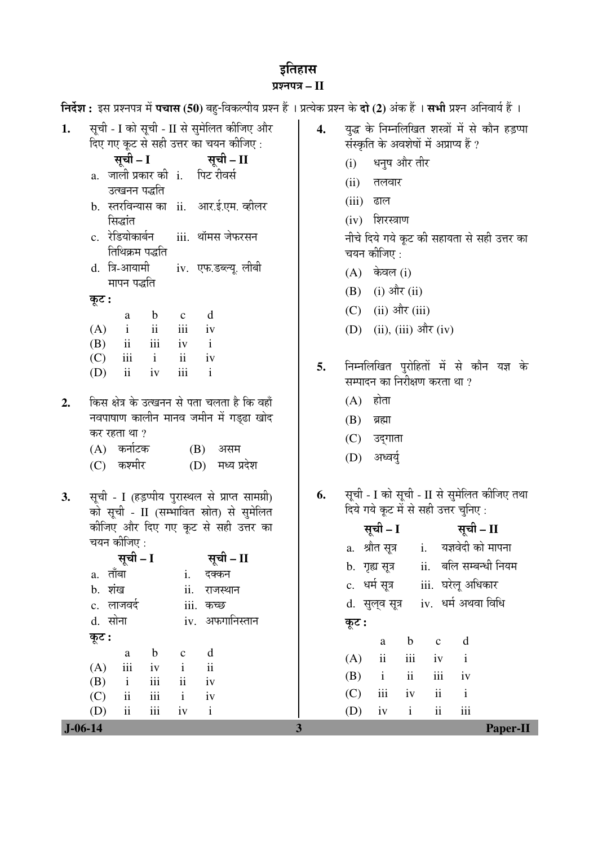# इतिहास

| प्रश्नपत्र $-I$                                                                                                                                                                                                                                                                                                                                                                                                                                                                                                                                                                                                                                                                                                                                                                                                                                                                                                                                                        |                                                                                                                               |  |  |  |  |  |  |  |
|------------------------------------------------------------------------------------------------------------------------------------------------------------------------------------------------------------------------------------------------------------------------------------------------------------------------------------------------------------------------------------------------------------------------------------------------------------------------------------------------------------------------------------------------------------------------------------------------------------------------------------------------------------------------------------------------------------------------------------------------------------------------------------------------------------------------------------------------------------------------------------------------------------------------------------------------------------------------|-------------------------------------------------------------------------------------------------------------------------------|--|--|--|--|--|--|--|
|                                                                                                                                                                                                                                                                                                                                                                                                                                                                                                                                                                                                                                                                                                                                                                                                                                                                                                                                                                        | निर्देश : इस प्रश्नपत्र में पचास (50) बहु-विकल्पीय प्रश्न हैं । प्रत्येक प्रश्न के दो (2) अंक हैं । सभी प्रश्न अनिवार्य हैं । |  |  |  |  |  |  |  |
| सूची - I को सूची - II से सुमेलित कीजिए और<br>युद्ध के निम्नलिखित शस्त्रों में से कौन हड़प्पा<br>1.<br>4.<br>दिए गए कूट से सही उत्तर का चयन कीजिए :<br>संस्कृति के अवशेषों में अप्राप्य हैं ?                                                                                                                                                                                                                                                                                                                                                                                                                                                                                                                                                                                                                                                                                                                                                                           |                                                                                                                               |  |  |  |  |  |  |  |
| सूची – II<br>सूची – I<br>धनुष और तीर<br>(i)<br>a. जाली प्रकार की i. पिट रीवर्स<br>(ii)<br>तलवार<br>उत्खनन पद्धति<br>(iii)<br>ढाल<br>b. स्तरविन्यास का ii. आर.ई.एम. व्हीलर<br>$(iv)$ शिरस्त्राण<br>सिद्धांत<br>c. रेडियोकार्बन  iii. थॉमस जेफरसन<br>नीचे दिये गये कूट की सहायता से सही उत्तर का                                                                                                                                                                                                                                                                                                                                                                                                                                                                                                                                                                                                                                                                         |                                                                                                                               |  |  |  |  |  |  |  |
| तिथिक्रम पद्धति<br>चयन कीजिए :<br>d. त्रि-आयामी<br>iv. एफ.डब्ल्यू. लीबी<br>केवल (i)<br>(A)<br>मापन पद्धति<br>$(i)$ और $(ii)$<br>(B)<br>कूट :<br>$(ii)$ और $(iii)$<br>(C)<br>d<br>$\mathbf b$<br>$\mathbf c$<br>a<br>$\mathbf{ii}$<br>iii<br>$(ii), (iii)$ और $(iv)$<br>(D)<br>(A)<br>$\mathbf{i}$<br>iv<br>iii<br>$\overline{\mathbf{u}}$<br>(B)<br>$\mathbf{i}$<br>iv<br>$\overline{\mathbf{u}}$<br>$\mathbf{i}$<br>(C)<br>iii<br>iv<br>निम्नलिखित पुरोहितों में से कौन यज्ञ के<br>5.<br>iii<br>$\mathbf{i}$                                                                                                                                                                                                                                                                                                                                                                                                                                                          |                                                                                                                               |  |  |  |  |  |  |  |
| (D)<br>$\overline{\mathbf{1}}$<br>iv<br>सम्पादन का निरीक्षण करता था ?<br>$(A)$ होता<br>किस क्षेत्र के उत्खनन से पता चलता है कि वहाँ<br>2.<br>नवपाषाण कालीन मानव जमीन में गड्ढा खोद<br>(B)<br>ब्रह्मा<br>कर रहता था ?<br>(C)<br>उद्गाता<br>(A) कर्नाटक<br>(B)<br>असम<br>अध्वयुं<br>(D)<br>(C) कश्मीर<br>(D) मध्य प्रदेश                                                                                                                                                                                                                                                                                                                                                                                                                                                                                                                                                                                                                                                 |                                                                                                                               |  |  |  |  |  |  |  |
| सूची - I को सूची - II से सुमेलित कीजिए तथा<br>सूची - I (हड़प्पीय पुरास्थल से प्राप्त सामग्री)<br>6.<br>3.<br>दिये गये कूट में से सही उत्तर चुनिए:<br>को सूची - II (सम्भावित स्रोत) से सुमेलित<br>कीजिए और दिए गए कूट से सही उत्तर का<br>सूची – I सूची – II<br>चयन कीजिए :<br>a. श्रौत सूत्र<br>$i$ .<br>सूची – II<br>सूची – I<br>b.  गृह्य सूत्र<br>a. तॉबा<br>i. दक्कन<br>iii. घरेलू अधिकार<br>c.   धर्म सूत्र<br>b. शंख<br>ii.<br>राजस्थान<br>d. सुल्व सूत्र iv. धर्म अथवा विधि<br>c. लाजवर्द<br>iii. कच्छ<br>d. सोना<br>iv. अफगानिस्तान<br>कूट :<br>कूट :<br>$\mathbf b$<br>$\mathbf c$<br>a<br>$\mathbf d$<br>$\mathbf b$<br>$\mathbf C$<br>a<br>ii<br>iii<br>(A)<br>iv<br>$\rm ii$<br>iii<br>$\mathbf{i}$<br>(A)<br>iv<br>iii<br>ii<br>(B)<br>$\,$ i $\,$<br>iii<br>ii<br>iv<br>(B)<br>$\mathbf{i}$<br>iii<br>ii<br>(C)<br>iv<br>iii<br>$\overline{\mathbf{ii}}$<br>$\mathbf{i}$<br>(C)<br>iv<br>$\rm ii$<br>$\overline{\mathbf{u}}$<br>iii<br>iv<br>$\mathbf{i}$ | यज्ञवेदी को मापना<br>ii. बलि सम्बन्धी नियम<br>$\mathbf d$<br>$\mathbf{i}$<br>iv<br>$\mathbf{i}$<br>iii                        |  |  |  |  |  |  |  |
| (D)<br>(D)<br>$\mathbf{i}$<br>iv<br>$J-06-14$<br>$\mathbf{3}$                                                                                                                                                                                                                                                                                                                                                                                                                                                                                                                                                                                                                                                                                                                                                                                                                                                                                                          | Paper-II                                                                                                                      |  |  |  |  |  |  |  |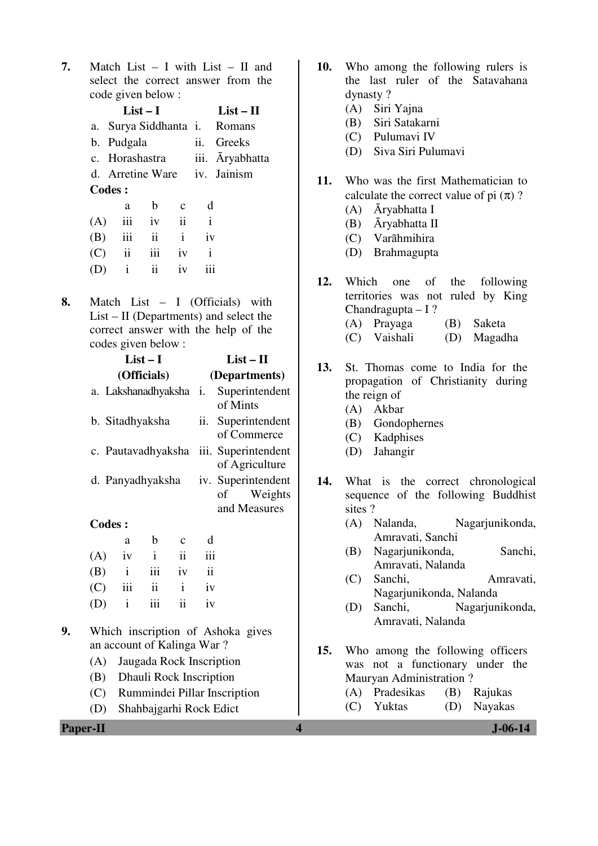**7.** Match List – I with List – II and select the correct answer from the code given below :

|     |                | $List-I$ |                     |                              | $List-II$                    |
|-----|----------------|----------|---------------------|------------------------------|------------------------------|
|     |                |          |                     |                              | a. Surya Siddhanta i. Romans |
|     | b. Pudgala     |          |                     |                              | ii. Greeks                   |
|     | c. Horashastra |          |                     |                              | iii. Aryabhatta              |
|     |                |          |                     | d. Arretine Ware iv. Jainism |                              |
|     | <b>Codes:</b>  |          |                     |                              |                              |
|     | a              | b        | $\mathbf{C}$        | d                            |                              |
| (A) | iii            | iv       | $\ddot{\mathbf{i}}$ | $\mathbf{i}$                 |                              |
| (B) | iii            | ii       | i                   | iv                           |                              |
|     | $\ddot{\rm n}$ | iii      | iv                  | İ                            |                              |

- (D) i ii iv iii
- **8.** Match List I (Officials) with List – II (Departments) and select the correct answer with the help of the codes given below :

|               |    | $List-I$               |               |                                                  | $List - II$                           |  |  |
|---------------|----|------------------------|---------------|--------------------------------------------------|---------------------------------------|--|--|
|               |    | (Officials)            |               |                                                  | (Departments)                         |  |  |
|               |    | a. Lakshanadhyaksha i. |               |                                                  | Superintendent<br>of Mints            |  |  |
|               |    | b. Sitadhyaksha        |               | ii.                                              | Superintendent<br>of Commerce         |  |  |
|               |    | c. Pautavadhyaksha     |               |                                                  | iii. Superintendent<br>of Agriculture |  |  |
|               |    | d. Panyadhyaksha       |               | iv. Superintendent<br>of Weights<br>and Measures |                                       |  |  |
| <b>Codes:</b> |    |                        |               |                                                  |                                       |  |  |
|               | a  | b                      | $\mathbf{C}$  | d                                                |                                       |  |  |
| (A)           | iv | $\mathbf{i}$           | $\mathbf{ii}$ | iii                                              |                                       |  |  |
| (5)           |    |                        | $\mathbf{1}$  |                                                  |                                       |  |  |

| $(1 - 1)$ | $\cdots$          | $\mathbf{H}$ | . |  |
|-----------|-------------------|--------------|---|--|
|           | $(B)$ i iii iv ii |              |   |  |
|           | $(C)$ iii ii iv   |              |   |  |
|           | $(D)$ i iii ii iv |              |   |  |

- **9.** Which inscription of Ashoka gives an account of Kalinga War ?
	- (A) Jaugada Rock Inscription
	- (B) Dhauli Rock Inscription
	- (C) Rummindei Pillar Inscription
	- (D) Shahbajgarhi Rock Edict

| <b>Paper-II</b> | $J - 06 - 14$ |
|-----------------|---------------|
|                 |               |

- **10.** Who among the following rulers is the last ruler of the Satavahana dynasty ?
	- (A) Siri Yajna
	- (B) Siri Satakarni
	- (C) Pulumavi IV
	- (D) Siva Siri Pulumavi
- **11.** Who was the first Mathematician to calculate the correct value of pi  $(\pi)$ ?
	- (A) Āryabhatta I
	- (B) Āryabhatta II
	- (C) Varāhmihira
	- (D) Brahmagupta
- **12.** Which one of the following territories was not ruled by King Chandragupta – I ? (A) Prayaga (B) Saketa
	- (C) Vaishali (D) Magadha
- **13.** St. Thomas come to India for the propagation of Christianity during the reign of
	- (A) Akbar
	- (B) Gondophernes
	- (C) Kadphises
	- (D) Jahangir
- **14.** What is the correct chronological sequence of the following Buddhist sites ?
	- (A) Nalanda, Nagarjunikonda, Amravati, Sanchi
	- (B) Nagarjunikonda, Sanchi, Amravati, Nalanda
	- (C) Sanchi, Amravati, Nagarjunikonda, Nalanda
	- (D) Sanchi, Nagarjunikonda, Amravati, Nalanda
- **15.** Who among the following officers was not a functionary under the Mauryan Administration ?
	- (A) Pradesikas (B) Rajukas (C) Yuktas (D) Nayakas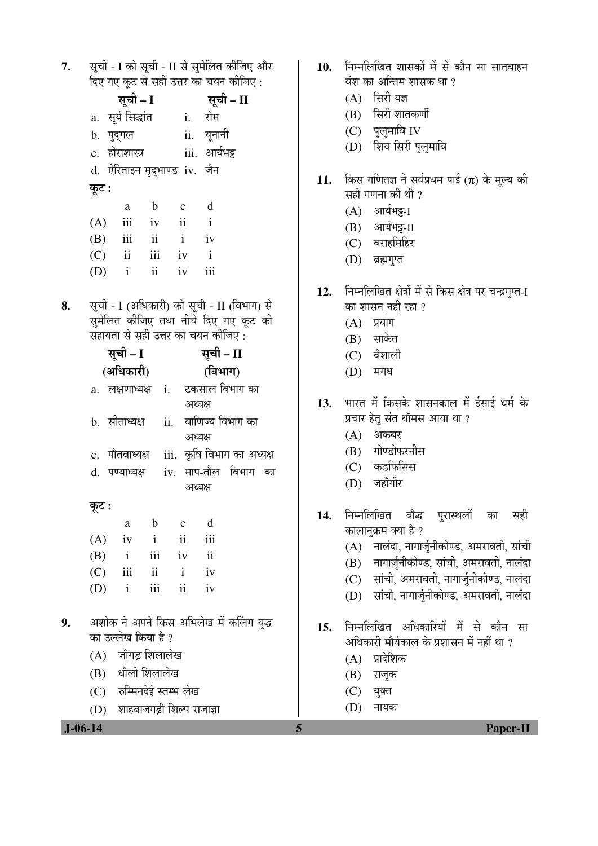सूची - I को सूची - II से सुमेलित कीजिए और 7. दिए गए कट से सही उत्तर का चयन कीजिए:

|       | सूची - I                | सूची – II |                              |               |
|-------|-------------------------|-----------|------------------------------|---------------|
|       | a. सूर्य सिद्धांत       |           | i.                           | रोम           |
|       | b. पुद्गल               |           |                              | ii. यूनानी    |
|       | c. होराशास्त्र          |           |                              | iii. आर्यभट्ट |
|       |                         |           | d. ऐरिताइन मृद्भाण्ड iv. जैन |               |
| कूट : |                         |           |                              |               |
|       | a                       | b         | $\mathbf{C}$                 | d             |
| (A)   | iii                     | iv        | ii                           | $\mathbf{i}$  |
|       | $(B)$ iii               | ii        | $\mathbf{i}$                 | iv            |
| (C)   | $\overline{\mathbf{i}}$ | iii       | iv                           | $\mathbf{i}$  |
| (D)   | $\mathbf{i}$            | ii        | iv                           | iii           |

सूची - I (अधिकारी) को सूची - II (विभाग) से 8. सुमेलित कीजिए तथा नीचे दिए गए कूट की सहायता से सही उत्तर का चयन कीजिए :

| सूची – I |                                         |         |  |         | सूची – II |                                                |  |  |
|----------|-----------------------------------------|---------|--|---------|-----------|------------------------------------------------|--|--|
|          | (अधिकारी)                               |         |  | (विभाग) |           |                                                |  |  |
|          |                                         |         |  |         |           | a. लक्षणाध्यक्ष i. टकसाल <sup>[</sup> विभाग का |  |  |
|          |                                         |         |  | अध्यक्ष |           |                                                |  |  |
|          | b. सीताध्यक्ष  ii.                      |         |  |         |           | वाणिज्य विभाग का                               |  |  |
|          |                                         |         |  | अध्यक्ष |           |                                                |  |  |
|          |                                         |         |  |         |           | c.  पौतवाध्यक्ष    iii.  कृषि विभाग का अध्यक्ष |  |  |
|          |                                         |         |  |         |           | d. पण्याध्यक्ष  iv. माप-तौल विभाग का           |  |  |
|          |                                         |         |  | अध्यक्ष |           |                                                |  |  |
| कूट :    |                                         |         |  |         |           |                                                |  |  |
|          |                                         | a b c d |  |         |           |                                                |  |  |
|          | $(A)$ iv i ii iii                       |         |  |         |           |                                                |  |  |
|          | $(B)$ i iii iv ii                       |         |  |         |           |                                                |  |  |
|          | $(C)$ iii ii i iv                       |         |  |         |           |                                                |  |  |
|          | $(D)$ i iii ii iv                       |         |  |         |           |                                                |  |  |
|          |                                         |         |  |         |           |                                                |  |  |
|          | अशोक ने अपने किस अभिलेख में कलिंग युद्ध |         |  |         |           |                                                |  |  |
|          | का उल्लेख किया है ?                     |         |  |         |           |                                                |  |  |
|          | (A) जौगड़ शिलालेख                       |         |  |         |           |                                                |  |  |
|          | (B) धौली शिलालेख                        |         |  |         |           |                                                |  |  |
|          | (C) रुम्मिनदेई स्तम्भ लेख               |         |  |         |           |                                                |  |  |

- 10. निम्नलिखित शासकों में से कौन सा सातवाहन वंश का अन्तिम शासक था ?
	- $(A)$  सिरी यज्ञ
	- (B) सिरी शातकर्णी
	- $(C)$  पुलुमावि IV
	- (D) शिव सिरी पुलुमावि
- किस गणितज्ञ ने सर्वप्रथम पाई ( $\pi$ ) के मूल्य की 11. सही गणना की थी ?
	- (A) आर्यभट्ट-I
	- (B) आर्यभट्ट-II
	- (C) वराहमिहिर
	- (D) ब्रह्मगुप्त
- निम्नलिखित क्षेत्रों में से किस क्षेत्र पर चन्द्रगुप्त-I  $12.$ का शासन <u>नहीं</u> रहा ?
	- $(A)$  प्रयाग
	- $(B)$  साकेत
	- $(C)$  वैशाली
	- (D) मगध
- भारत में किसके शासनकाल में ईसाई धर्म के  $13.$ प्रचार हेतु संत थॉमस आया था ?
	- $(A)$  अकबर
	- (B) गोण्डोफरनीस
	- (C) कडफिसिस
	- (D) जहाँगीर
- 14. निम्नलिखित बौद्ध परास्थलों का सही कालानुक्रम क्या है ?
	- $(A)$  नालंदा, नागार्जुनीकोण्ड, अमरावती, सांची
	- (B) नागार्जुनीकोण्ड, सांची, अमरावती, नालंदा
	- (C) सांची, अमरावती, नागार्जुनीकोण्ड, नालंदा
	- (D) सांची, नागार्जुनीकोण्ड, अमरावती, नालंदा
- 15. निम्नलिखित अधिकारियों में से कौन सा अधिकारी मौर्यकाल के प्रशासन में नहीं था ?
	- $(A)$  प्रादेशिक
	- $(B)$  राजुक
	- $(C)$  युक्त

5

(D) नायक

(D) शाहबाजगढ़ी शिल्प राजाज्ञा

9.

 $J - 06 - 14$ 

**Paper-II**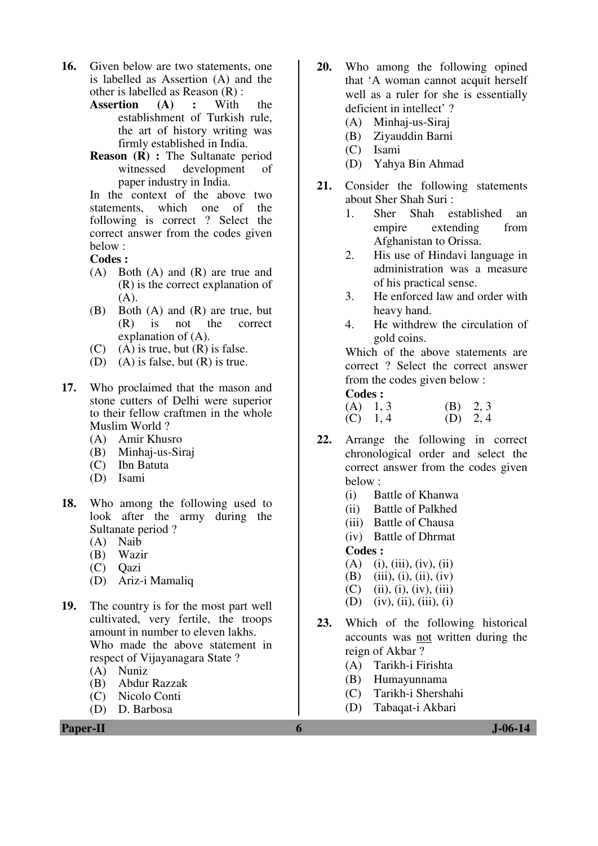- **16.** Given below are two statements, one is labelled as Assertion (A) and the other is labelled as Reason  $(R)$ :<br>Assertion  $(A)$ : With
	- **Assertion (A) :** With the establishment of Turkish rule, the art of history writing was firmly established in India.
	- **Reason (R) :** The Sultanate period witnessed development of paper industry in India.

In the context of the above two statements, which one of the following is correct ? Select the correct answer from the codes given below :

**Codes :**

- (A) Both (A) and (R) are true and (R) is the correct explanation of  $(A).$
- (B) Both (A) and (R) are true, but (R) is not the correct explanation of (A).
- $(C)$  (A) is true, but  $(R)$  is false.
- (D) (A) is false, but (R) is true.
- **17.** Who proclaimed that the mason and stone cutters of Delhi were superior to their fellow craftmen in the whole Muslim World ?
	- (A) Amir Khusro
	- (B) Minhaj-us-Siraj
	- (C) Ibn Batuta
	- (D) Isami
- **18.** Who among the following used to look after the army during the Sultanate period ?
	- (A) Naib
	- (B) Wazir
	- (C) Qazi
	- (D) Ariz-i Mamaliq
- **19.** The country is for the most part well cultivated, very fertile, the troops amount in number to eleven lakhs. Who made the above statement in respect of Vijayanagara State ?
	- (A) Nuniz
	- (B) Abdur Razzak
	- (C) Nicolo Conti
	- (D) D. Barbosa
- **20.** Who among the following opined that 'A woman cannot acquit herself well as a ruler for she is essentially deficient in intellect' ?
	- (A) Minhaj-us-Siraj
	- (B) Ziyauddin Barni
	- (C) Isami
	- (D) Yahya Bin Ahmad
- **21.** Consider the following statements about Sher Shah Suri :
	- 1. Sher Shah established an empire extending from Afghanistan to Orissa.
	- 2. His use of Hindavi language in administration was a measure of his practical sense.
	- 3. He enforced law and order with heavy hand.
	- 4. He withdrew the circulation of gold coins.

 Which of the above statements are correct ? Select the correct answer from the codes given below :

| $(A)$ 1, 3 | $(B)$ 2, 3 |  |
|------------|------------|--|
| $(C)$ 1, 4 | $(D)$ 2, 4 |  |

- **22.** Arrange the following in correct chronological order and select the correct answer from the codes given below :
	- (i) Battle of Khanwa
	- (ii) Battle of Palkhed
	- (iii) Battle of Chausa
	- (iv) Battle of Dhrmat **Codes :**
	- $(A)$  (i), (iii), (iv), (ii)
	- (B) (iii), (i), (ii), (iv)
	- $(C)$  (ii), (i), (iv), (iii)
	- (D) (iv), (ii), (iii), (i)
- **23.** Which of the following historical accounts was not written during the reign of Akbar ?
	- (A) Tarikh-i Firishta
	- (B) Humayunnama
	- (C) Tarikh-i Shershahi
	- (D) Tabaqat-i Akbari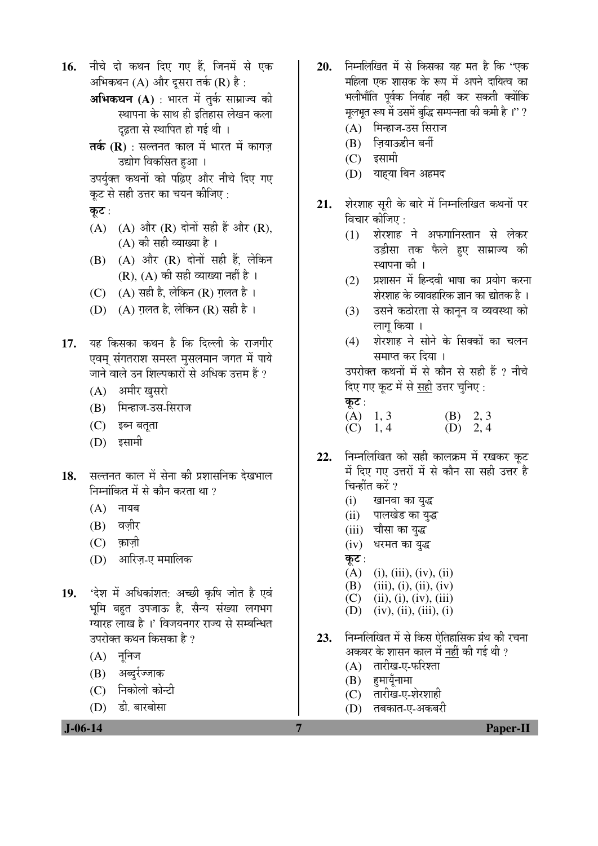- 16. नीचे दो कथन दिए गए हैं. जिनमें से एक अभिकथन  $(A)$  और दुसरा तर्क  $(R)$  है:
	- **अभिकथन (A)** : भारत में तर्क साम्राज्य की स्थापना के साथ ही इतिहास लेखन कला दृढ़ता से स्थापित हो गई थी ।
	- **तर्क (R)** : सल्तनत काल में भारत में कागज़ उद्योग विकसित हुआ ।

उपर्युक्त कथनों को पढ़िए और नीचे दिए गए कूट से सही उत्तर का चयन कीजिए :

- कूट:
- $(A)$   $(A)$  और  $(R)$  दोनों सही हैं और  $(R)$ , (A) की सही व्याख्या है ।
- $(B)$   $(A)$  और  $(R)$  दोनों सही हैं, लेकिन  $(R)$ ,  $(A)$  की सही व्याख्या नहीं है ।
- (C)  $(A)$  सही है, लेकिन (R) गलत है।
- (D)  $(A)$  ग़लत है, लेकिन (R) सही है ।
- 17. यह किसका कथन है कि दिल्ली के राजगीर एवम् संगतराश समस्त मुसलमान जगत में पाये जाने वाले उन शिल्पकारों से अधिक उत्तम हैं ?
	- $(A)$  अमीर खसरो
	- (B) मिन्हाज-उस-सिराज
	- $(C)$  इब्न बतुता
	- $(D)$  इसामी
- 1**8.** सल्तनत काल में सेना की प्रशासनिक देखभाल निम्नांकित में से कौन करता था  $\imath$ 
	- $(A)$  नायब
	- (B) वज़ीर
	- $(C)$  क़ाज़ी
	- (D) आरिज़-ए ममालिक
- 19. 'देश में अधिकांशत: अच्छी कृषि जोत है एवं भूमि बहुत उपजाऊ है, सैन्य संख्या लगभग ग्यारह लाख है ।' विजयनगर राज्य से सम्बन्धित उपरोक्त कथन किसका है ?
	- $(A)$  नुनिज
	- $(B)$  अब्दुर्रज्जाक
	- (C) निकोलो कोन्टी
	- (D) डी. बारबोसा

 **J-06-14 7 Paper-II**

- 20. ਜਿਸਕਿਥਿਰ में से किसका यह मत है कि "एक महिला एक शासक के रूप में अपने दायित्व का भलीभाँति पर्वक निर्वाह नहीं कर सकती क्योंकि मूलभूत रूप में उसमें बुद्धि सम्पन्नता की कमी है ।'' ?
	- $(A)$  मिन्हाज-उस सिराज
	- $(B)$  ज़ियाऊद्दीन बर्नी
	- $(C)$  इसामी
	- (D) याह्या बिन अहमद
- 21. शेरशाह सुरी के बारे में निम्नलिखित कथनों पर विचार कीजिए :
	- $(1)$  शेरशाह ने अफगानिस्तान से लेकर उड़ीसा तक फैले हए साम्राज्य की स्थापना की ।
	- (2) प्रशासन में हिन्दवी भाषा का प्रयोग करना शेरशाह के व्यावहारिक ज्ञान का द्योतक है ।
	- (3) उसने कठोरता से कानून व व्यवस्था को लाग किया ।
	- (4) शेरशाह ने सोने के सिक्कों का चलन समाप्त कर दिया ।

उपरोक्त कथनों में से कौन से सही हैं ? नीचे दिए गए कूट में से <u>सही</u> उत्तर चुनिए :

- कट $:$ (A)  $1, 3$  (B)  $2, 3$ <br>(C)  $1, 4$  (D)  $2, 4$  $(D)$  2, 4
- 22. निम्नलिखित को सही कालक्रम में रखकर कूट में दिए गए उत्तरों में से कौन सा सही उत्तर है चिन्हींत करें ?
	- (i) खानवा का युद्ध
	- (ii) पालखेड का युद्ध
	- (iii) चौसा का युद्ध
	- $(iv)$  धरमत का युद्ध
	- कूट $:$
	- $(A)$  (i), (iii), (iv), (ii)
	- (B) (iii), (i), (ii), (iv)  $(C)$  (ii), (i), (iv), (iii)
	- $(D)$  (iv), (ii), (iii), (i)
- 23. निम्नलिखित में से किस ऐतिहासिक ग्रंथ की रचना अकबर के शासन काल में <u>नहीं</u> की गई थी ?
	- $(A)$  तारीख-ए-फरिश्ता
	- $(B)$  हमायँनामा
	- (C) तारीख-ए-शेरशाही
	- (D) तबकात-ए-अकबरी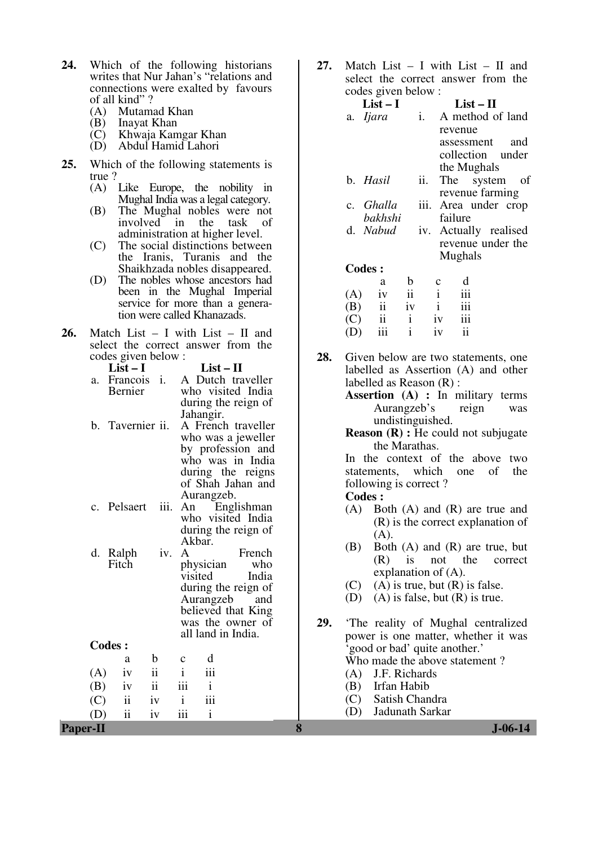- **24.** Which of the following historians writes that Nur Jahan's "relations and connections were exalted by favours of all kind" ?
	- (A) Mutamad Khan
	- (B) Inayat Khan
	- (C) Khwaja Kamgar Khan
	- (D) Abdul Hamid Lahori
- **25.** Which of the following statements is true ?
	- (A) Like Europe, the nobility in Mughal India was a legal category.
	- (B) The Mughal nobles were not involved in the task of administration at higher level.
	- (C) The social distinctions between the Iranis, Turanis and the Shaikhzada nobles disappeared.
	- (D) The nobles whose ancestors had been in the Mughal Imperial service for more than a generation were called Khanazads.
- **26.** Match List I with List II and select the correct answer from the codes given below :

|   | $\omega$ and $\epsilon$ is very denoted by $\epsilon$ |                     |
|---|-------------------------------------------------------|---------------------|
|   | $List-I$                                              | $List-II$           |
|   | a. Francois i.                                        | A Dutch traveller   |
|   | Bernier                                               | who visited India   |
|   |                                                       | during the reign of |
|   |                                                       | Jahangir.           |
| h | Toyorniar ii                                          | A Erongh troyollor  |

- b. Tavernier ii. A French traveller who was a jeweller by profession and who was in India during the reigns of Shah Jahan and Aurangzeb.<br>An Englishman
- c. Pelsaert iii. An who visited India during the reign of Akbar.<br>iv. A

d. Ralph Fitch French<br>who physician who visited during the reign of<br>Aurangzeb and Aurangzeb believed that King was the owner of all land in India.

 $(A)$  iv ii i iii  $(B)$  iv ii iii i  $(C)$  ii iv i iii (D) ii iv iii i

**Codes :**  a b c d **27.** Match List – I with List – II and select the correct answer from the codes given below :

|                          | $List-I$  |     |         | $List-II$             |     |
|--------------------------|-----------|-----|---------|-----------------------|-----|
|                          | a. Ijara  | i.  |         | A method of land      |     |
|                          |           |     | revenue |                       |     |
|                          |           |     |         | assessment            | and |
|                          |           |     |         | collection under      |     |
|                          |           |     |         | the Mughals           |     |
|                          | b. Hasil  | ii. |         | The system of         |     |
|                          |           |     |         | revenue farming       |     |
|                          | c. Ghalla |     |         | iii. Area under crop  |     |
|                          | bakhshi   |     | failure |                       |     |
|                          | d. Nabud  |     |         | iv. Actually realised |     |
|                          |           |     |         | revenue under the     |     |
|                          |           |     | Mughals |                       |     |
|                          | Codes:    |     |         |                       |     |
|                          | a         |     |         |                       |     |
| $\left( \Lambda \right)$ |           |     |         |                       |     |

|     | a   | b  | $\mathbf c$ | a   |
|-----|-----|----|-------------|-----|
| (A) | iv  | ii |             | 111 |
| (B) | ii  | İV |             | iii |
| (C) | ii  |    | iv          | iii |
| (D) | iii |    | iv          | ii  |

- **28.** Given below are two statements, one labelled as Assertion (A) and other labelled as Reason (R) :
	- **Assertion (A) :** In military terms Aurangzeb's reign was undistinguished.
	- **Reason (R) :** He could not subjugate the Marathas.

In the context of the above two statements, which one of the following is correct ?

- (A) Both (A) and (R) are true and (R) is the correct explanation of  $(A)$ .
- (B) Both (A) and (R) are true, but<br>(R) is not the correct is not the correct explanation of (A).
- $(C)$  (A) is true, but  $(R)$  is false.
- (D) (A) is false, but (R) is true.
- **29.** 'The reality of Mughal centralized power is one matter, whether it was 'good or bad' quite another.' Who made the above statement ?
	- (A) J.F. Richards
	- (B) Irfan Habib
	- (C) Satish Chandra
	- (D) Jadunath Sarkar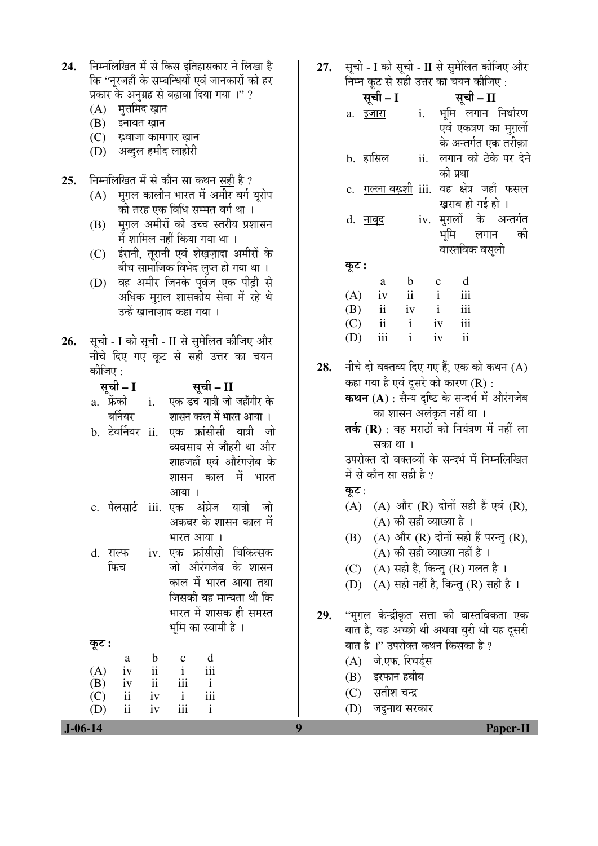| 24.           | निम्नलिखित में से किस इतिहासकार ने लिखा है          | 27. | सूची - I को सूची - II से सुमेलित कीजिए और                                                  |
|---------------|-----------------------------------------------------|-----|--------------------------------------------------------------------------------------------|
|               | कि ''नूरजहाँ के सम्बन्धियों एवं जानकारों को हर      |     | निम्न कूट से सही उत्तर का चयन कीजिए :                                                      |
|               | प्रकार के अनुग्रह से बढ़ावा दिया गया ।" ?           |     | सूची – I<br>सूची – II                                                                      |
|               | (A) मुत्तमिद ख़ान                                   |     | i. भूमि लगान निर्धारण<br>a. <u>इजारा</u>                                                   |
|               | (B) इनायत ख़ान                                      |     | एवं एकत्रण का मुग़लों                                                                      |
|               | (C) ख़्वाजा कामगार ख़ान                             |     | के अन्तर्गत एक तरीक़ा                                                                      |
|               | (D) अब्दुल हमीद लाहोरी                              |     | लगान को ठेके पर देने<br><u>b. हासिल</u><br>ii.                                             |
|               |                                                     |     | की प्रथा                                                                                   |
| 25.           | निम्नलिखित में से कौन सा कथन <u>सही</u> है ?        |     | c. <u>गल्ला बख़्शी</u> iii. वह क्षेत्र जहाँ फसल                                            |
|               | मुग़ल कालीन भारत में अमीर वर्ग यूरोप<br>(A)         |     | ख़राब हो गई हो ।                                                                           |
|               | की तरह एक विधि सम्मत वर्ग था ।                      |     |                                                                                            |
|               | मुग़ल अमीरों को उच्च स्तरीय प्रशासन<br>(B)          |     | iv. मुग़लों के अन्तर्गत<br>d. <u>नाबूद</u>                                                 |
|               | में शामिल नहीं किया गया था ।                        |     | भूमि<br>की<br>लगान                                                                         |
|               | ईरानी, तूरानी एवं शेख़ज़ादा अमीरों के<br>(C)        |     | वास्तविक वसूली                                                                             |
|               | बीच सामाजिक विभेद लुप्त हो गया था ।                 |     | कूट :                                                                                      |
|               | वह अमीर जिनके पूर्वज एक पीढ़ी से<br>(D)             |     | d<br>$\mathbf b$<br>$\mathbf{C}$<br>a                                                      |
|               | अधिक मुग़ल शासकीय सेवा में रहे थे                   |     | $\ddot{\rm ii}$<br>$\mathbf{i}$<br>iii<br>(A)<br>iv                                        |
|               | उन्हें ख़ानाज़ाद कहा गया ।                          |     | iii<br>(B)<br>$\ddot{\mathbf{i}}$<br>iv<br>$\mathbf{i}$<br>$\mathbf{i}$                    |
|               |                                                     |     | $\overline{\textbf{ii}}$<br>iii<br>(C)<br>iv<br>iii<br>$\mathbf{ii}$<br>$\mathbf{i}$<br>iv |
| 26.           | सूची - I को सूची - II से सुमेलित कीजिए और           |     | (D)                                                                                        |
|               | नीचे दिए गए कूट से सही उत्तर का चयन                 | 28. | नीचे दो वक्तव्य दिए गए हैं, एक को कथन (A)                                                  |
|               | कीजिए :                                             |     |                                                                                            |
|               | सूची – I<br>सूची – II                               |     | कहा गया है एवं दूसरे को कारण (R) :                                                         |
|               | एक डच यात्री जो जहाँगीर के<br>a. फ्रेंको <b>i</b> . |     | कथन (A) : सैन्य दृष्टि के सन्दर्भ में औरंगजेब                                              |
|               | बर्नियर<br>शासन काल में भारत आया ।                  |     | का शासन अलंकृत नहीं था ।                                                                   |
|               | b. टेवर्नियर ii. एक फ्रांसीसी यात्री जो             |     | तर्क (R) : वह मराठों को नियंत्रण में नहीं ला                                               |
|               | व्यवसाय से जौहरी था और                              |     | सका था ।                                                                                   |
|               | शाहजहाँ एवं औरंगज़ेब के                             |     | उपरोक्त दो वक्तव्यों के सन्दर्भ में निम्नलिखित                                             |
|               | में भारत<br>काल<br>शासन                             |     | में से कौन सा सही है ?                                                                     |
|               | आया ।                                               |     | कूट :                                                                                      |
|               | पेलसार्ट iii. एक अंग्रेज यात्री जो<br>c.            |     | (A) (A) और (R) दोनों सही हैं एवं (R),                                                      |
|               | अकबर के शासन काल में                                |     | (A) की सही व्याख्या है।                                                                    |
|               | भारत आया ।                                          |     | (A) और (R) दोनों सही हैं परन्तु (R),<br>(B)                                                |
|               | iv. एक फ्रांसीसी चिकित्सक<br>d. राल्फ               |     | (A) की सही व्याख्या नहीं है ।                                                              |
|               | फिच<br>जो औरंगजेब के शासन                           |     | (A) सही है, किन्तु (R) गलत है।<br>(C)                                                      |
|               | काल में भारत आया तथा                                |     | (A) सही नहीं है, किन्तु (R) सही है ।<br>(D)                                                |
|               | जिसकी यह मान्यता थी कि                              |     |                                                                                            |
|               | भारत में शासक ही समस्त                              | 29. | ''मुग़ल केन्द्रीकृत सत्ता की वास्तविकता एक                                                 |
|               | भूमि का स्वामी है ।                                 |     | बात है, वह अच्छी थी अथवा बुरी थी यह दूसरी                                                  |
|               | कूट :                                               |     | बात है ।'' उपरोक्त कथन किसका है ?                                                          |
|               | d<br>$\mathbf b$<br>$\mathbf{C}$<br>a               |     | जे.एफ. रिचर्ड्स<br>(A)                                                                     |
|               | $\ddot{\rm ii}$<br>iii<br>(A)<br>$\mathbf{i}$<br>iv |     | इरफान हबीब                                                                                 |
|               | $\mathbf{ii}$<br>(B)<br>iii<br>$\mathbf{i}$<br>iv   |     | (B)                                                                                        |
|               | iii<br>$\ddot{\rm ii}$<br>$\mathbf{i}$<br>(C)<br>iv |     | सतीश चन्द्र<br>(C)                                                                         |
|               | $\rm ii$<br>iii<br>$\mathbf{i}$<br>(D)<br>iv        |     | जदुनाथ सरकार<br>(D)                                                                        |
| $J - 06 - 14$ |                                                     | 9   | <b>Paper-II</b>                                                                            |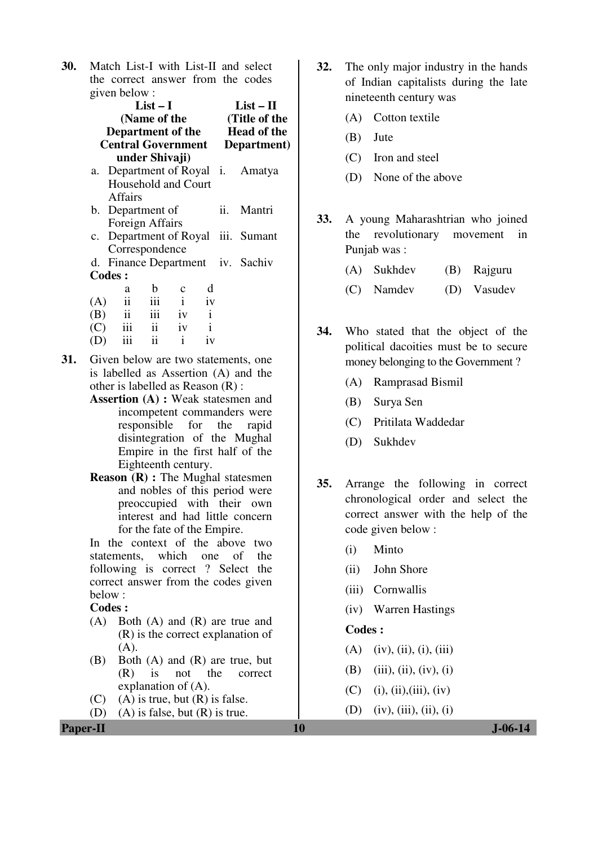**30.** Match List-I with List-II and select the correct answer from the codes given below :

|             | $List-I$<br>(Name of the<br>Department of the<br><b>Central Government</b> | $List-II$<br>(Title of the<br><b>Head of the</b><br>Department) |             |    |  |                                  |
|-------------|----------------------------------------------------------------------------|-----------------------------------------------------------------|-------------|----|--|----------------------------------|
|             | under Shivaji)                                                             |                                                                 |             |    |  |                                  |
| a.          |                                                                            |                                                                 |             |    |  | Department of Royal i. Amatya    |
|             | Household and Court                                                        |                                                                 |             |    |  |                                  |
|             | Affairs                                                                    |                                                                 |             |    |  |                                  |
|             | b. Department of                                                           |                                                                 |             |    |  | ii. Mantri                       |
|             | Foreign Affairs                                                            |                                                                 |             |    |  |                                  |
| $c_{\cdot}$ |                                                                            |                                                                 |             |    |  | Department of Royal iii. Sumant  |
|             | Correspondence                                                             |                                                                 |             |    |  |                                  |
|             |                                                                            |                                                                 |             |    |  | d. Finance Department iv. Sachiv |
|             | <b>Codes:</b>                                                              |                                                                 |             |    |  |                                  |
|             | a                                                                          | b                                                               | $\mathbf c$ | d  |  |                                  |
| (A)         | ii                                                                         | iii i                                                           |             | iv |  |                                  |
|             | $(B)$ ii iii iv i                                                          |                                                                 |             |    |  |                                  |
|             | $(C)$ iii ii iv i                                                          |                                                                 |             |    |  |                                  |
| (D)         | $iii$ $ii$ $i$                                                             |                                                                 |             | iv |  |                                  |
|             |                                                                            |                                                                 |             |    |  |                                  |

- **31.** Given below are two statements, one is labelled as Assertion (A) and the other is labelled as Reason (R) :
	- **Assertion (A) :** Weak statesmen and incompetent commanders were<br>responsible for the ranid responsible for disintegration of the Mughal Empire in the first half of the Eighteenth century.
	- **Reason (R) :** The Mughal statesmen and nobles of this period were preoccupied with their own interest and had little concern for the fate of the Empire.

In the context of the above two statements, which one of the following is correct ? Select the correct answer from the codes given below :

**Codes :** 

- (A) Both (A) and (R) are true and (R) is the correct explanation of  $(A)$ .
- (B) Both (A) and (R) are true, but (R) is not the correct explanation of (A).
- $(C)$  (A) is true, but  $(R)$  is false.
- (D) (A) is false, but (R) is true.
- **32.** The only major industry in the hands of Indian capitalists during the late nineteenth century was
	- (A) Cotton textile
	- (B) Jute
	- (C) Iron and steel
	- (D) None of the above
- **33.** A young Maharashtrian who joined the revolutionary movement in Punjab was :
	- (A) Sukhdev (B) Rajguru
	- (C) Namdev (D) Vasudev
- **34.** Who stated that the object of the political dacoities must be to secure money belonging to the Government ?
	- (A) Ramprasad Bismil
	- (B) Surya Sen
	- (C) Pritilata Waddedar
	- (D) Sukhdev
- **35.** Arrange the following in correct chronological order and select the correct answer with the help of the code given below :
	- (i) Minto
	- (ii) John Shore
	- (iii) Cornwallis
	- (iv) Warren Hastings

- $(A)$  (iv), (ii), (i), (iii)
- (B) (iii), (ii), (iv), (i)
- $(C)$  (i), (ii), (iii), (iv)
- (D) (iv), (iii), (ii), (i)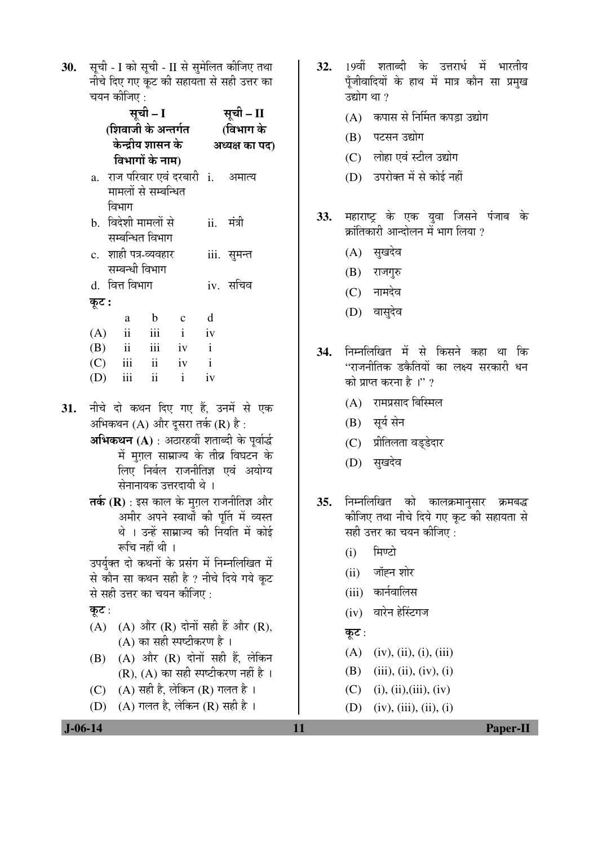30. सूची - I को सूची - II से सुमेलित कीजिए तथा नीचे दिए गए कट की सहायता से सही उत्तर का चयन कीजिए :

पद)

|       | सूची – I                           | सूची – II           |                |               |                                     |  |  |
|-------|------------------------------------|---------------------|----------------|---------------|-------------------------------------|--|--|
|       | (शिवाजी के अन्तर्गत                | (विभाग के           |                |               |                                     |  |  |
|       | केन्द्रीय शासन के                  |                     | अध्यक्ष का पत् |               |                                     |  |  |
|       | विभागों के नाम)                    |                     |                |               |                                     |  |  |
|       | a. राज परिवार एवं दरबारी i. अमात्य |                     |                |               |                                     |  |  |
|       | मामलों से सम्बन्धित                |                     |                |               |                                     |  |  |
|       | विभाग                              |                     |                |               |                                     |  |  |
|       | b. विदेशी मामलों से                |                     |                |               | ii. मंत्री                          |  |  |
|       | सम्बन्धित विभाग                    |                     |                |               |                                     |  |  |
|       | c. शाही पत्र-व्यवहार               |                     |                |               | iii. सुमन्त                         |  |  |
|       | सम्बन्धी विभाग                     |                     |                |               |                                     |  |  |
|       | d. वित्त विभाग                     |                     |                |               | iv. सचिव                            |  |  |
| कूट : |                                    |                     |                |               |                                     |  |  |
|       | a                                  | $\mathbf b$         | $c \, d$       |               |                                     |  |  |
| (A)   | $\overline{\mathbf{ii}}$           | iii                 | $\mathbf{i}$   | iv            |                                     |  |  |
|       | $(B)$ ii iii iv i                  |                     |                |               |                                     |  |  |
|       | $(C)$ iii ii iv i                  |                     |                |               |                                     |  |  |
|       | $(D)$ iii                          | $\ddot{\mathbf{i}}$ | $\mathbf{i}$   | $i\mathbf{v}$ |                                     |  |  |
|       |                                    |                     |                |               |                                     |  |  |
|       |                                    |                     |                |               | नीचे दो कथन दिए गए हैं. उनमें से एव |  |  |

- 31. एक अभिकथन (A) और दसरा तर्क (R) है:
	- अभिकथन (A) : अठारहवीं शताब्दी के पूर्वार्द्ध में मृग़ल साम्राज्य के तीव्र विघटन के लिए निर्बल राजनीतिज्ञ एवं अयोग्य सेनानायक उत्तरदायी थे ।
	- तर्क  $(R)$ : इस काल के मुग़ल राजनीतिज्ञ और अमीर अपने स्वार्थों की पूर्ति में व्यस्त थे । उन्हें साम्राज्य की नियति में कोई रूचि नहीं थी ।

उपर्युक्त दो कथनों के प्रसंग में निम्नलिखित में से कौन सा कथन सही है ? नीचे दिये गये कूट से सही उत्तर का चयन कीजिए :

- कुट:
- (A) (A) और (R) दोनों सही हैं और (R), (A) का सही स्पष्टीकरण है।
- (B) (A) और (R) दोनों सही हैं, लेकिन  $(R)$ ,  $(A)$  का सही स्पष्टीकरण नहीं है।
- (C)  $(A)$  सही है, लेकिन (R) गलत है।
- (D) (A) गलत है, लेकिन (R) सही है।
- 32. 19वीं शताब्दी के उत्तरार्ध में भारतीय पूँजीवादियों के हाथ में मात्र कौन सा प्रमुख उद्योग था ?
	- (A) कपास से निर्मित कपड़ा उद्योग
	- (B) पटसन उद्योग
	- (C) लोहा एवं स्टील उद्योग
	- (D) उपरोक्त में से कोई नहीं
- महाराष्ट्र के एक युवा जिसने पंजाब के  $33.$ क्रांतिकारी आन्दोलन में भाग लिया ?
	- (A) सुखदेव
	- (B) राजगुरु
	- $(C)$  नामदेव
	- (D) वासुदेव
- निम्नलिखित में से किसने कहा था कि 34. ''राजनीतिक डकैतियों का लक्ष्य सरकारी धन को प्राप्त करना है।" ?
	- (A) रामप्रसाद बिस्मिल
	- (B) सूर्य सेन
	- (C) प्रीतिलता वड्डेदार
	- (D) सुखदेव
- 35. निम्नलिखित को कालक्रमानुसार क्रमबद्ध कीजिए तथा नीचे दिये गए कूट की सहायता से सही उत्तर का चयन कीजिए :
	- मिण्टो  $(i)$
	- $(ii)$  जॉह्न शोर
	- (iii) कार्नवालिस
	- (iv) वारेन हेस्टिंगज
	- कूट:

11

- $(A)$  (iv), (ii), (i), (iii)
- (B) (iii), (ii), (iv), (i)
- $(C)$  (i), (ii), (iii), (iv)
- (D) (iv), (iii), (ii), (i)

Paper-II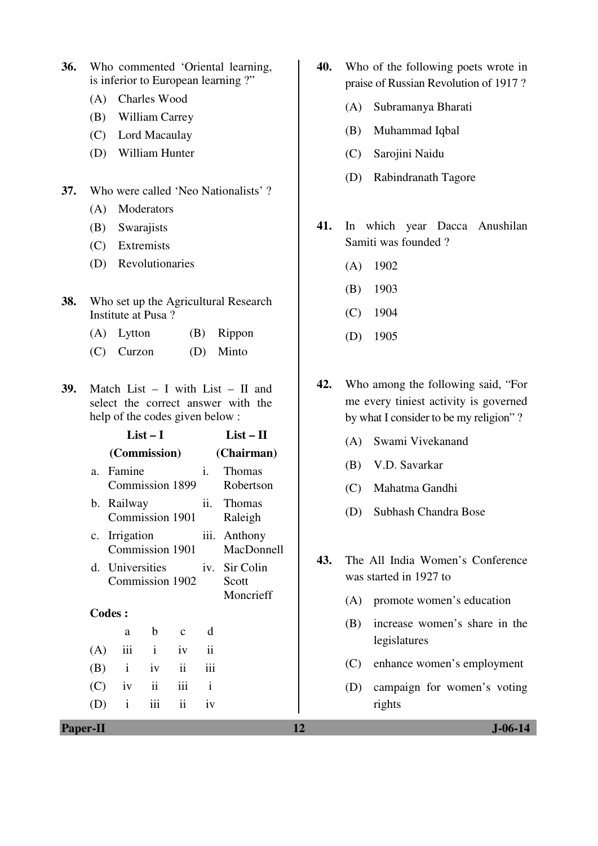- **36.** Who commented 'Oriental learning, is inferior to European learning ?"
	- (A) Charles Wood
	- (B) William Carrey
	- (C) Lord Macaulay
	- (D) William Hunter
- **37.** Who were called 'Neo Nationalists' ?
	- (A) Moderators
	- (B) Swarajists
	- (C) Extremists
	- (D) Revolutionaries
- **38.** Who set up the Agricultural Research Institute at Pusa ?
	- (A) Lytton (B) Rippon
	- (C) Curzon (D) Minto
- **39.** Match List I with List II and select the correct answer with the help of the codes given below :

|             |                                    | $List-I$            |                          | $List - II$      |                                     |  |  |
|-------------|------------------------------------|---------------------|--------------------------|------------------|-------------------------------------|--|--|
|             | (Commission)                       |                     |                          | (Chairman)       |                                     |  |  |
| a.          | Famine<br>Commission 1899          |                     |                          | i.               | Thomas<br>Robertson                 |  |  |
| b.          | Railway<br>Commission 1901         |                     |                          |                  | ii. Thomas<br>Raleigh               |  |  |
| $c_{\cdot}$ | Irrigation<br>Commission 1901      |                     |                          |                  | iii. Anthony<br>MacDonnell          |  |  |
|             | d. Universities<br>Commission 1902 |                     |                          |                  | iv. Sir Colin<br>Scott<br>Moncrieff |  |  |
|             | <b>Codes:</b>                      |                     |                          |                  |                                     |  |  |
|             | a                                  | b                   | $\mathbf c$              | d                |                                     |  |  |
| (A)         | iii                                | $\mathbf{i}$        | iv                       | $\ddot{\rm{11}}$ |                                     |  |  |
| (B)         | $\mathbf{i}$                       | iv                  | $\overline{\mathbf{ii}}$ | iii              |                                     |  |  |
| (C)         | iv                                 | $\ddot{\mathbf{i}}$ | iii                      | $\mathbf{i}$     |                                     |  |  |
|             | $\mathbf{i}$                       | iii                 | ii                       | iv               |                                     |  |  |
|             |                                    |                     |                          |                  |                                     |  |  |

- **40.** Who of the following poets wrote in praise of Russian Revolution of 1917 ?
	- (A) Subramanya Bharati
	- (B) Muhammad Iqbal
	- (C) Sarojini Naidu
	- (D) Rabindranath Tagore
- **41.** In which year Dacca Anushilan Samiti was founded ?
	- (A) 1902
	- (B) 1903
	- (C) 1904
	- (D) 1905
- **42.** Who among the following said, "For me every tiniest activity is governed by what I consider to be my religion" ?
	- (A) Swami Vivekanand
	- (B) V.D. Savarkar
	- (C) Mahatma Gandhi
	- (D) Subhash Chandra Bose
- **43.** The All India Women's Conference was started in 1927 to
	- (A) promote women's education
	- (B) increase women's share in the legislatures
	- (C) enhance women's employment
	- (D) campaign for women's voting rights

**Paper-II** J-06-14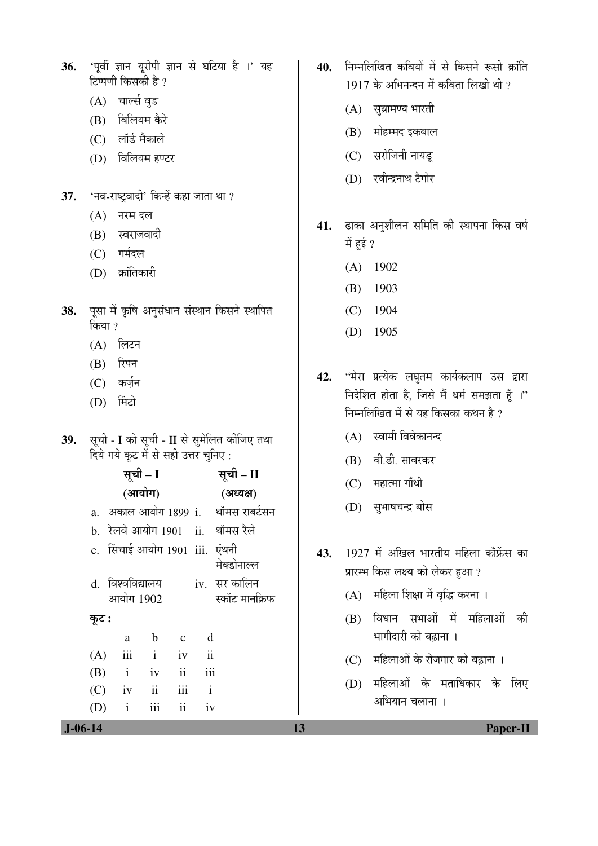- 36. 'पूर्वी ज्ञान यूरोपी ज्ञान से घटिया है ।' यह टिप्पणी किसकी है ?
	- (A) चार्ल्स वुड
	- (B) विलियम कैरे
	- (C) लॉर्ड मैकाले
	- (D) विलियम हण्टर
- 37. 'नव-राष्ट्रवादी' किन्हें कहा जाता था ?
	- $(A)$  नरम दल
	- $(B)$  स्वराजवादी
	- (C) गर्मदल
	- (D) क्रांतिकारी
- 38. पूसा में कृषि अनुसंधान संस्थान किसने स्थापित किया $, 2$ 
	- $(A)$  लिटन
	- $(B)$  रिपन
	- (C) कर्ज़न
	- (D) मिंटो
- 39. सूची I को सूची II से सुमेलित कीजिए तथा <u>दिये गये कूट में से सही उत्तर चुनिए:</u>

|           | सूची – I                       |               |                          |                          | सूची – II                          |     | (C) | महात्मा गाँधी                                                                |  |
|-----------|--------------------------------|---------------|--------------------------|--------------------------|------------------------------------|-----|-----|------------------------------------------------------------------------------|--|
|           | (आयोग)                         |               |                          |                          | (अध्यक्ष)                          |     |     |                                                                              |  |
|           |                                |               |                          |                          | a. अकाल आयोग 1899 i. थॉमस राबर्टसन |     | (D) | सुभाषचन्द्र बोस                                                              |  |
|           |                                |               |                          |                          | b. रेलवे आयोग 1901 ii. थॉमस रैले   |     |     |                                                                              |  |
|           | c. सिंचाई आयोग 1901 iii. एंथनी |               |                          |                          | मेक्डोनाल्ल                        | 43. |     | 1927 में अखिल भारतीय महिला काँफ्रेंस का<br>प्रारम्भ किस लक्ष्य को लेकर हुआ ? |  |
|           | d. विश्वविद्यालय<br>आयोग 1902  |               |                          |                          | iv.   सर कालिन<br>स्कॉट मानक्रिफ   |     |     | (A) महिला शिक्षा में वृद्धि करना ।                                           |  |
| कूट :     | a                              | $\mathbf b$   | $\mathbf{c}$             | d                        |                                    |     | (B) | विधान सभाओं में महिलाओं की<br>भागीदारी को बढाना ।                            |  |
| (A)       | iii                            | $\mathbf{i}$  | iv                       | $\overline{\mathbf{ii}}$ |                                    |     | (C) | महिलाओं के रोजगार को बढ़ाना ।                                                |  |
| (B)       | $\mathbf{i}$                   | iv            | $\overline{\mathbf{ii}}$ | iii                      |                                    |     |     | महिलाओं के मताधिकार के लिए                                                   |  |
| (C)       | iv                             | $\mathbf{ii}$ | iii                      | $\mathbf{i}$             |                                    |     | (D) |                                                                              |  |
| (D)       | $\mathbf{i}$                   | iii           | $\mathbf{ii}$            | iv                       |                                    |     |     | अभियान चलाना ।                                                               |  |
| $J-06-14$ |                                |               |                          |                          |                                    | 13  |     | <b>Paper-II</b>                                                              |  |

- 40. निम्नलिखित कवियों में से किसने रूसी क्रांति  $1917$  के अभिनन्दन में कविता लिखी थी ?
	- $(A)$  सुब्रामण्य भारती
	- (B) मोहम्मद इकबाल
	- (C) सरोजिनी नायडू
	- (D) रवीन्द्रनाथ टैगोर
- 41. ढाका अनुशीलन समिति की स्थापना किस वर्ष में हुई ?
	- (A) 1902
	- (B) 1903
	- (C) 1904
	- (D) 1905
- 42. "मेरा प्रत्येक लघुतम कार्यकलाप उस द्वारा निर्देशित होता है, जिसे मैं धर्म समझता हैं ।" निम्नलिखित में से यह किसका कथन है ?
	- $(A)$  स्वामी विवेकानन्द
	- (B) वी.डी. सावरकर
	- $(C)$  महात्मा गाँधी
	- (D) सुभाषचन्द्र बोस
- 43. 1927 में अखिल भारतीय महिला काँफ्रेंस का प्रारम्भ किस लक्ष्य को लेकर हुआ ?
	- $(A)$  महिला शिक्षा में वृद्धि करना ।
	- $(B)$  विधान सभाओं में महिलाओं की भागीदारी को बढाना ।
	- (C) महिलाओं के रोजगार को बढ़ाना ।
	- (D) महिलाओं के मताधिकार के लिए अभियान चलाना ।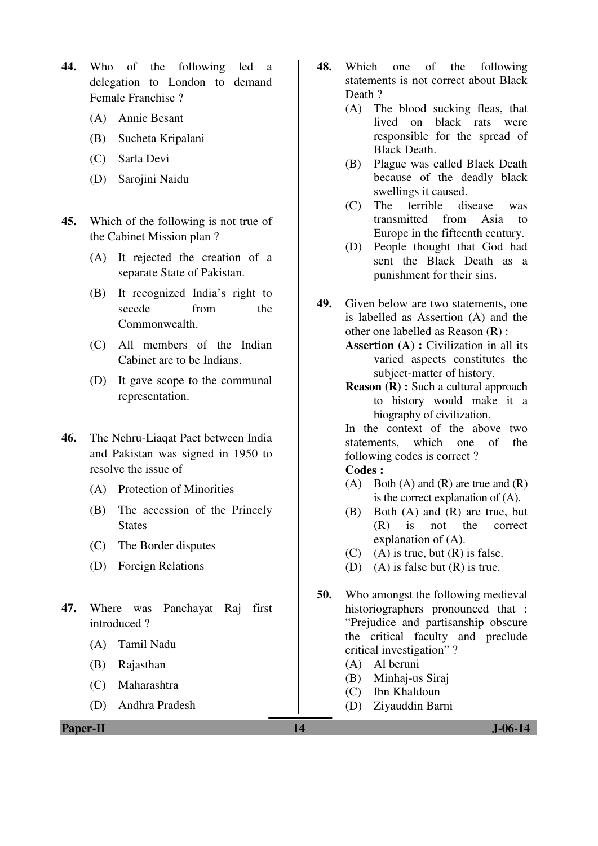- **44.** Who of the following led a delegation to London to demand Female Franchise ?
	- (A) Annie Besant
	- (B) Sucheta Kripalani
	- (C) Sarla Devi
	- (D) Sarojini Naidu
- **45.** Which of the following is not true of the Cabinet Mission plan ?
	- (A) It rejected the creation of a separate State of Pakistan.
	- (B) It recognized India's right to secede from the Commonwealth.
	- (C) All members of the Indian Cabinet are to be Indians.
	- (D) It gave scope to the communal representation.
- **46.** The Nehru-Liaqat Pact between India and Pakistan was signed in 1950 to resolve the issue of
	- (A) Protection of Minorities
	- (B) The accession of the Princely **States**
	- (C) The Border disputes
	- (D) Foreign Relations
- **47.** Where was Panchayat Raj first introduced ?
	- (A) Tamil Nadu
	- (B) Rajasthan
	- (C) Maharashtra
	- (D) Andhra Pradesh
- **48.** Which one of the following statements is not correct about Black Death ?
	- (A) The blood sucking fleas, that lived on black rats were responsible for the spread of Black Death.
	- (B) Plague was called Black Death because of the deadly black swellings it caused.
	- (C) The terrible disease was transmitted from Asia to Europe in the fifteenth century.
	- (D) People thought that God had sent the Black Death as a punishment for their sins.
- **49.** Given below are two statements, one is labelled as Assertion (A) and the other one labelled as Reason (R) :
	- **Assertion (A) :** Civilization in all its varied aspects constitutes the subject-matter of history.
	- **Reason (R) :** Such a cultural approach to history would make it a biography of civilization.

In the context of the above two statements, which one of the following codes is correct ?

- (A) Both (A) and (R) are true and  $(R)$ is the correct explanation of (A).
- (B) Both (A) and (R) are true, but (R) is not the correct explanation of (A).
- $(C)$  (A) is true, but  $(R)$  is false.
- (D) (A) is false but  $(R)$  is true.
- **50.** Who amongst the following medieval historiographers pronounced that : "Prejudice and partisanship obscure the critical faculty and preclude critical investigation" ?
	- (A) Al beruni
	- (B) Minhaj-us Siraj
	- (C) Ibn Khaldoun
	- (D) Ziyauddin Barni